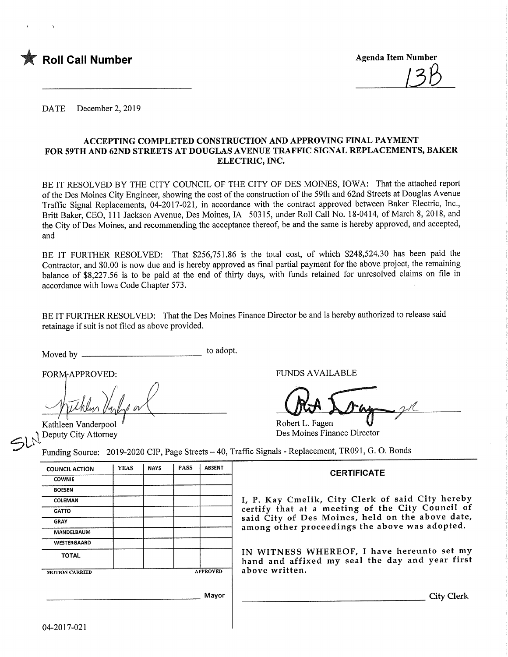

DATE December 2, 2019

#### ACCEPTING COMPLETED CONSTRUCTION AND APPROVING FINAL PAYMENT FOR 59TH AND 62ND STREETS AT DOUGLAS AVENUE TRAFFIC SIGNAL REPLACEMENTS, BAKER ELECTRIC, INC.

BE IT RESOLVED BY THE CITY COUNCIL OF THE CITY OF DES MOINES, IOWA: That the attached report of the Des Moines City Engineer, showing the cost of the construction of the 59th and 62nd Streets at Douglas Avenue Traffic Signal Replacements, 04-2017-021, in accordance with the contract approved between Baker Electric, Inc., Britt Baker, CEO, 11 1 Jackson Avenue, Des Moines, IA 50315, under Roll Call No. 18-0414, of March 8, 2018, and the City of Des Moines, and recommending the acceptance thereof, be and the same is hereby approved, and accepted, and

BE IT FURTHER RESOLVED: That \$256,751.86 is the total cost, of which \$248,524.30 has been paid the Contractor, and \$0.00 is now due and is hereby approved as final partial payment for the above project, the remaining balance of \$8,227.56 is to be paid at the end of thirty days, with funds retained for unresolved claims on file in accordance with Iowa Code Chapter 573.

BE IT FURTHER RESOLVED: That the Des Moines Finance Director be and is hereby authorized to release said retainage if suit is not filed as above provided.

Moved by to adopt.

Kathleen Vanderpool Deputy City Attorney

FORMAPPROVED: FUNDS AVAILABLE

Robert L. Fagen Des Moines Finance Director

Funding Source: 2019-2020 CIP, Page Streets - 40, Traffic Signals - Replacement, TR091, G. O. Bonds

| <b>COUNCIL ACTION</b> | <b>YEAS</b> | <b>NAYS</b> | <b>PASS</b> | <b>ABSENT</b>   |                   |
|-----------------------|-------------|-------------|-------------|-----------------|-------------------|
| <b>COWNIE</b>         |             |             |             |                 |                   |
| <b>BOESEN</b>         |             |             |             |                 |                   |
| COLEMAN               |             |             |             |                 | Ι,                |
| <b>GATTO</b>          |             |             |             |                 | ce                |
| <b>GRAY</b>           |             |             |             |                 | s a               |
| MANDELBAUM            |             |             |             |                 | a r               |
| WESTERGAARD           |             |             |             |                 |                   |
| <b>TOTAL</b>          |             |             |             |                 | $\mathbf{I}$<br>h |
| <b>MOTION CARRIED</b> |             |             |             | <b>APPROVED</b> | a l               |
|                       |             |             |             | Mayor           |                   |

### **CERTIFICATE**

P. Kay Cmelik, City Clerk of said City hereby certify that at a meeting of the City Council of said City of Des Moines, held on the above date, among other proceedings the above was adopted.

IN WITNESS WHEREOF, I have hereunto set my and and affixed my seal the day and year first bove written.

City Clerk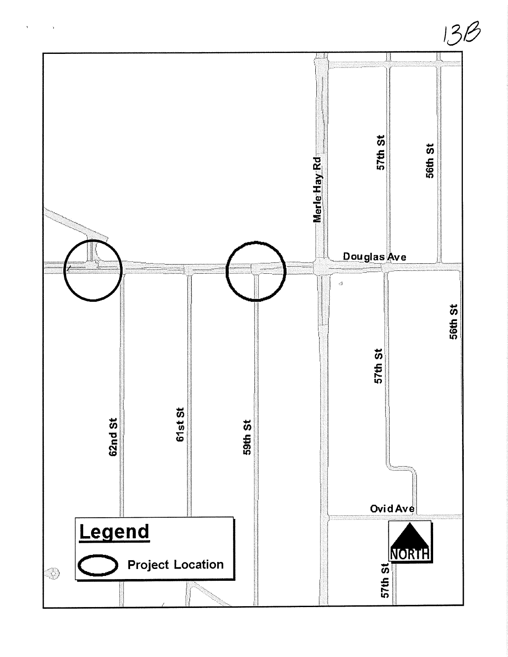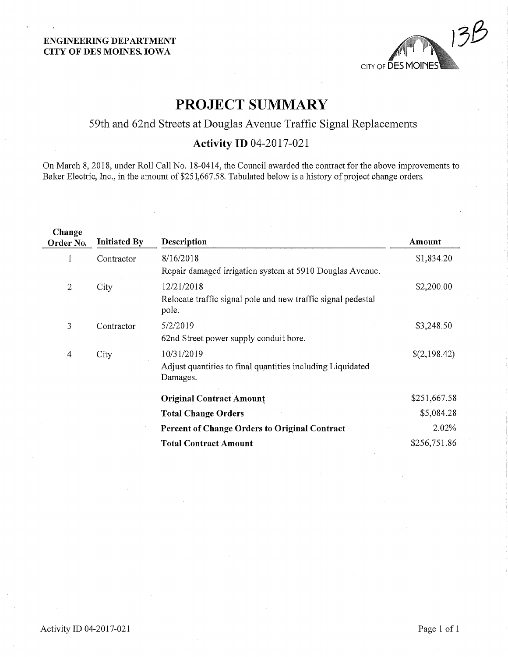#### ENGINEERING DEPARTMENT CITY OF DES MOINE& IOWA



# PROJECT SUMMARY

# 59th and 62nd Streets at Douglas Avenue Traffic Signal Replacements

# Activity ID 04-2017-021

On March 8, 2018, under Roll Call No. 18-0414, the Council awarded the contract for the above improvements to Baker Electric, Inc., in the amount of \$251,667.58. Tabulated below is a history of project change orders.

| \$1,834.20   |
|--------------|
|              |
| \$2,200.00   |
|              |
| \$3,248.50   |
|              |
| \$(2,198.42) |
|              |
| \$251,667.58 |
| \$5,084.28   |
| 2.02%        |
| \$256,751.86 |
|              |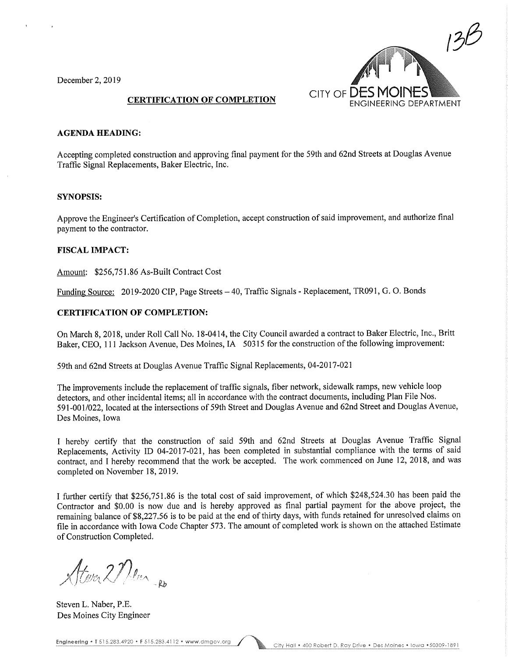December 2, 2019



#### AGENDA HEADING:

Accepting completed construction and approving final payment for the 59th and 62nd Streets at Douglas Avenue Traffic Signal Replacements, Baker Electric, Inc.

#### SYNOPSIS:

Approve the Engineer's Certification of Completion, accept construction of said improvement, and authorize final payment to the contractor.

#### FISCAL IMPACT:

Amount: \$256,751.86 As-Built Contract Cost

Funding Source: 2019-2020 CIP, Page Streets - 40, Traffic Signals - Replacement, TR091, G. O. Bonds

#### CERTIFICATION OF COMPLETION:

On March 8, 2018, under Roll Call No. 18-0414, the City Council awarded a contract to Baker Electric, Inc., Britt Baker, CEO, 111 Jackson Avenue, Des Moines, IA 50315 for the construction of the following improvement:

59th and 62nd Streets at Douglas Avenue Traffic Signal Replacements, 04-2017-021

The improvements include the replacement of traffic signals, fiber network, sidewalk ramps, new vehicle loop detectors, and other incidental items; all in accordance with the contract documents, including Plan File Nos, 591-001/022, located at the intersections of 59th Street and Douglas Avenue and 62nd Street and Douglas Avenue, Des Moines, Iowa

I hereby certify that the construction of said 59th and 62nd Streets at Douglas Avenue Traffic Signal Replacements, Activity ID 04-2017-021, has been completed in substantial compliance with the terms of said contract, and I hereby recommend that the work be accepted. The work commenced on June 12, 2018, and was completed on November 18,2019.

I further certify that \$256,751.86 is the total cost of said improvement, of which \$248,524.30 has been paid the Contractor and \$0.00 is now due and is hereby approved as final partial payment for the above project, the remaining balance of \$8,227.56 is to be paid at the end of thirty days, with funds retained for unresolved claims on file in accordance with Iowa Code Chapter 573. The amount of completed work is shown on the attached Estimate of Construction Completed.

Stever 27 Ver Ro

Steven L. Naber, P.E. Des Moines City Engineer